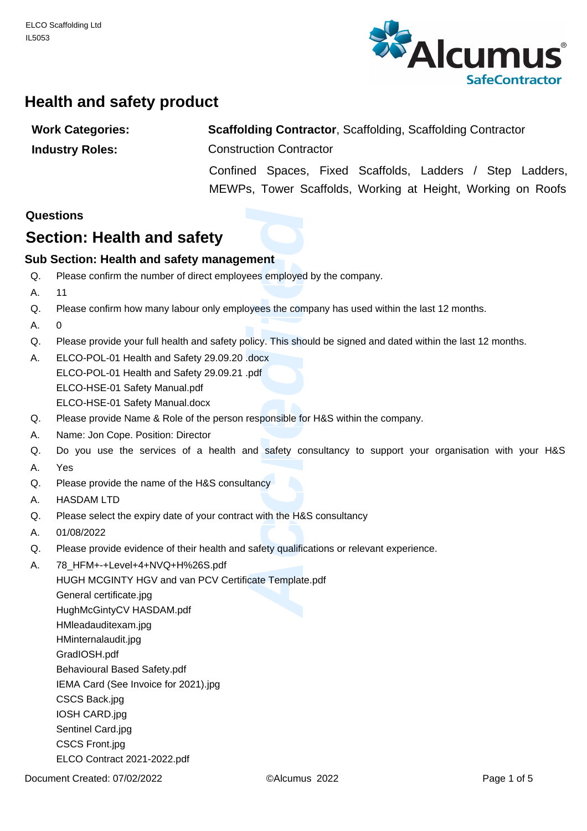

# **Health and safety product**

| <b>Work Categories:</b> | <b>Scaffolding Contractor, Scaffolding, Scaffolding Contractor</b> |  |  |  |  |  |  |  |
|-------------------------|--------------------------------------------------------------------|--|--|--|--|--|--|--|
| <b>Industry Roles:</b>  | <b>Construction Contractor</b>                                     |  |  |  |  |  |  |  |
|                         | Confined Spaces, Fixed Scaffolds, Ladders /<br>Step Ladders,       |  |  |  |  |  |  |  |

MEWPs, Tower Scaffolds, Working at Height, Working on Roofs

## **Questions**

# **Section: Health and safety**

#### **Sub Section: Health and safety management**

- Please confirm the number of direct employees employed by the company. Q.
- 11 A.
- Please confirm how many labour only employees the company has used within the last 12 months. Q.
- $\Omega$ A.
- Please provide your full health and safety policy. This should be signed and dated within the last 12 months. Q.
- ELCO-POL-01 Health and Safety 29.09.20 .docx ELCO-POL-01 Health and Safety 29.09.21 .pdf ELCO-HSE-01 Safety Manual.pdf ELCO-HSE-01 Safety Manual.docx A.
- Please provide Name & Role of the person responsible for H&S within the company. Q.
- Name: Jon Cope. Position: Director A.
- **Mentary Example 19 Accredit Contains the Conduct Sydnet Consultancy Consultancy Consultancy<br>
Accredition Consultancy<br>
Accredit Consultancy<br>
Heads Consultancy<br>
Consultancy<br>
Consultancy<br>
Consultancy<br>
Consultancy<br>
Consultanc** Do you use the services of a health and safety consultancy to support your organisation with your H&S Yes Q.
- A.
- Please provide the name of the H&S consultancy Q.
- HASDAM LTD A.
- Please select the expiry date of your contract with the H&S consultancy  $\Omega$ .
- 01/08/2022 A.
- Please provide evidence of their health and safety qualifications or relevant experience. Q.
- 78\_HFM+-+Level+4+NVQ+H%26S.pdf A.

HUGH MCGINTY HGV and van PCV Certificate Template.pdf General certificate.jpg

HughMcGintyCV HASDAM.pdf

HMleadauditexam.jpg

HMinternalaudit.jpg

GradIOSH.pdf

Behavioural Based Safety.pdf

IEMA Card (See Invoice for 2021).jpg

CSCS Back.jpg

IOSH CARD.jpg

Sentinel Card.jpg

CSCS Front.jpg

ELCO Contract 2021-2022.pdf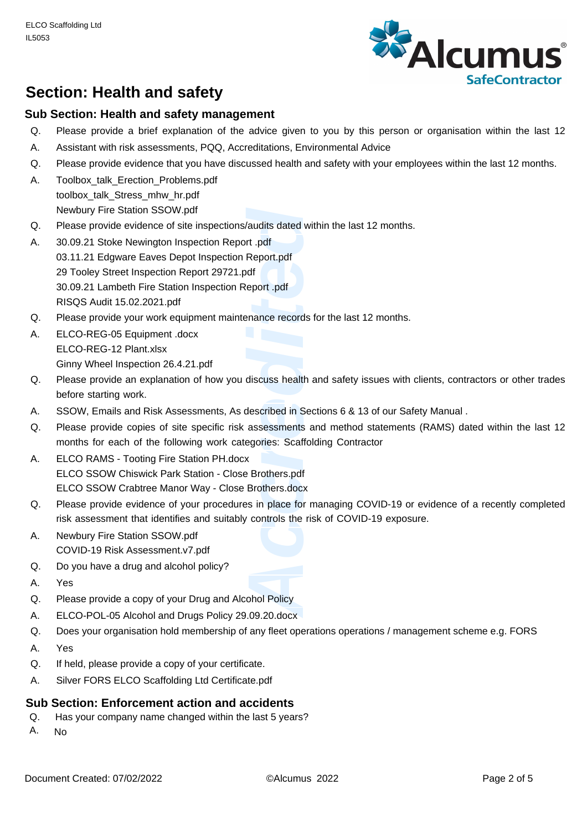

# **Section: Health and safety**

#### **Sub Section: Health and safety management**

- Please provide a brief explanation of the advice given to you by this person or organisation within the last 12 Q.
- Assistant with risk assessments, PQQ, Accreditations, Environmental Advice A.
- Please provide evidence that you have discussed health and safety with your employees within the last 12 months. Q.
- Toolbox\_talk\_Erection\_Problems.pdf toolbox\_talk\_Stress\_mhw\_hr.pdf Newbury Fire Station SSOW.pdf A.
- Please provide evidence of site inspections/audits dated within the last 12 months. Q.
- According the results dated within the land<br> **According to Report.pdf**<br> **According to According Conducts Set assessments and meth**<br> **According Conducts Set assessments and meth**<br> **According Conducts Set assessments and met** 30.09.21 Stoke Newington Inspection Report .pdf 03.11.21 Edgware Eaves Depot Inspection Report.pdf 29 Tooley Street Inspection Report 29721.pdf 30.09.21 Lambeth Fire Station Inspection Report .pdf RISQS Audit 15.02.2021.pdf A.
- Please provide your work equipment maintenance records for the last 12 months. Q.
- ELCO-REG-05 Equipment .docx ELCO-REG-12 Plant.xlsx Ginny Wheel Inspection 26.4.21.pdf A.
- Please provide an explanation of how you discuss health and safety issues with clients, contractors or other trades before starting work. Q.
- SSOW, Emails and Risk Assessments, As described in Sections 6 & 13 of our Safety Manual . A.
- Please provide copies of site specific risk assessments and method statements (RAMS) dated within the last 12 months for each of the following work categories: Scaffolding Contractor Q.
- ELCO RAMS Tooting Fire Station PH.docx ELCO SSOW Chiswick Park Station - Close Brothers.pdf ELCO SSOW Crabtree Manor Way - Close Brothers.docx A.
- Please provide evidence of your procedures in place for managing COVID-19 or evidence of a recently completed risk assessment that identifies and suitably controls the risk of COVID-19 exposure. Q.
- Newbury Fire Station SSOW.pdf COVID-19 Risk Assessment.v7.pdf A.
- Do you have a drug and alcohol policy? Q.
- Yes A.
- Please provide a copy of your Drug and Alcohol Policy Q.
- ELCO-POL-05 Alcohol and Drugs Policy 29.09.20.docx A.
- Does your organisation hold membership of any fleet operations operations / management scheme e.g. FORS Q.
- Yes A.
- If held, please provide a copy of your certificate. Q.
- Silver FORS ELCO Scaffolding Ltd Certificate.pdf A.

#### **Sub Section: Enforcement action and accidents**

- Has your company name changed within the last 5 years? Q.
- A. No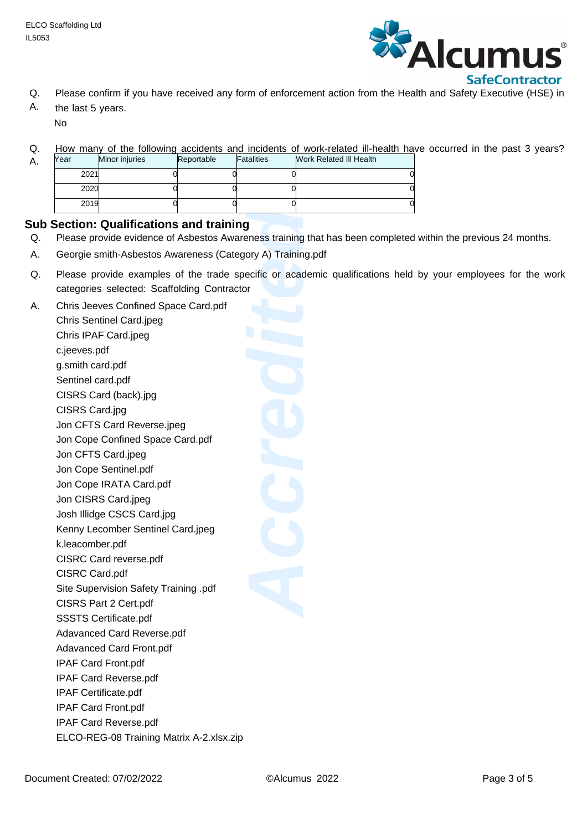

- Please confirm if you have received any form of enforcement action from the Health and Safety Executive (HSE) in Q.
- the last 5 years. No A.

A.

How many of the following accidents and incidents of work-related ill-health have occurred in the past 3 years? Q.

| Year | Minor injuries | Reportable | Fatalities | <b>Work Related III Health</b> |
|------|----------------|------------|------------|--------------------------------|
| 2021 |                |            |            |                                |
| 2020 |                |            |            |                                |
| 2019 |                |            |            |                                |

#### **Sub Section: Qualifications and training**

- Please provide evidence of Asbestos Awareness training that has been completed within the previous 24 months. Q.
- A. Georgie smith-Asbestos Awareness (Category A) Training.pdf
- Please provide examples of the trade specific or academic qualifications held by your employees for the work categories selected: Scaffolding Contractor Q.

|    | 2019                                                                                                                                                                                                                                                                                                                                                                                                                                                                                                                                                                                                                                                                                                                               |  | u |  |
|----|------------------------------------------------------------------------------------------------------------------------------------------------------------------------------------------------------------------------------------------------------------------------------------------------------------------------------------------------------------------------------------------------------------------------------------------------------------------------------------------------------------------------------------------------------------------------------------------------------------------------------------------------------------------------------------------------------------------------------------|--|---|--|
| Q. | <b>Sub Section: Qualifications and training</b><br>Please provide evidence of Asbestos Awareness training that has b                                                                                                                                                                                                                                                                                                                                                                                                                                                                                                                                                                                                               |  |   |  |
| А. | Georgie smith-Asbestos Awareness (Category A) Training.pdf                                                                                                                                                                                                                                                                                                                                                                                                                                                                                                                                                                                                                                                                         |  |   |  |
| Q. | Please provide examples of the trade specific or academic qual<br>categories selected: Scaffolding Contractor                                                                                                                                                                                                                                                                                                                                                                                                                                                                                                                                                                                                                      |  |   |  |
| Α. | Chris Jeeves Confined Space Card.pdf<br>Chris Sentinel Card.jpeg<br>Chris IPAF Card.jpeg<br>c.jeeves.pdf<br>g.smith card.pdf<br>Sentinel card.pdf<br>CISRS Card (back).jpg<br>CISRS Card.jpg<br>Jon CFTS Card Reverse.jpeg<br>Jon Cope Confined Space Card.pdf<br>Jon CFTS Card.jpeg<br>Jon Cope Sentinel.pdf<br>Jon Cope IRATA Card.pdf<br>Jon CISRS Card.jpeg<br>Josh Illidge CSCS Card.jpg<br>Kenny Lecomber Sentinel Card.jpeg<br>k.leacomber.pdf<br>CISRC Card reverse.pdf<br><b>CISRC Card.pdf</b><br>Site Supervision Safety Training .pdf<br>CISRS Part 2 Cert.pdf<br><b>SSSTS Certificate.pdf</b><br>Adavanced Card Reverse.pdf<br><b>Adavanced Card Front.pdf</b><br><b>IPAF Card Front.pdf</b><br>IPAF Card Reverse.pdf |  |   |  |
|    | IPAF Certificate.pdf                                                                                                                                                                                                                                                                                                                                                                                                                                                                                                                                                                                                                                                                                                               |  |   |  |
|    | <b>IPAF Card Front.pdf</b>                                                                                                                                                                                                                                                                                                                                                                                                                                                                                                                                                                                                                                                                                                         |  |   |  |
|    | IPAF Card Reverse.pdf<br>ELCO-REG-08 Training Matrix A-2.xlsx.zip                                                                                                                                                                                                                                                                                                                                                                                                                                                                                                                                                                                                                                                                  |  |   |  |
|    |                                                                                                                                                                                                                                                                                                                                                                                                                                                                                                                                                                                                                                                                                                                                    |  |   |  |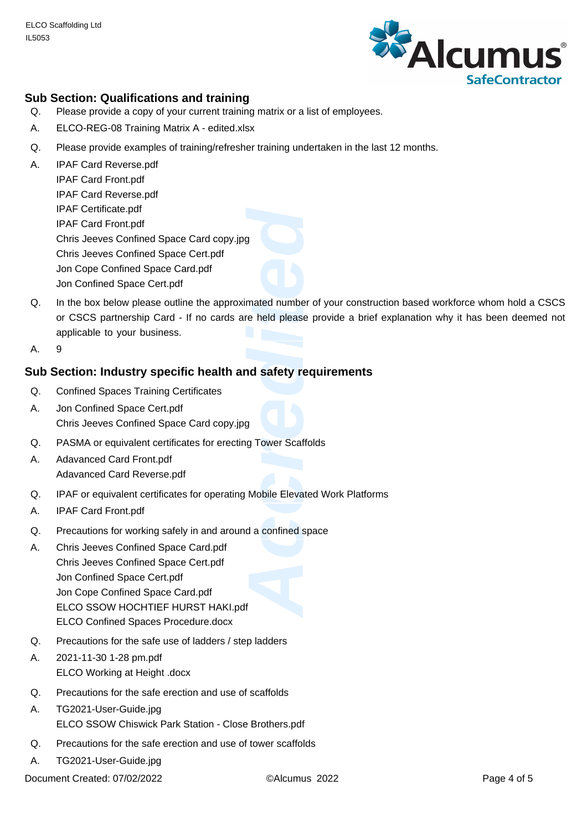

### **Sub Section: Qualifications and training**

- Please provide a copy of your current training matrix or a list of employees. Q.
- A. ELCO-REG-08 Training Matrix A edited.xlsx
- Please provide examples of training/refresher training undertaken in the last 12 months.  $\Omega$ .
- IPAF Card Reverse.pdf IPAF Card Front.pdf IPAF Card Reverse.pdf IPAF Certificate.pdf IPAF Card Front.pdf Chris Jeeves Confined Space Card copy.jpg Chris Jeeves Confined Space Cert.pdf Jon Cope Confined Space Card.pdf Jon Confined Space Cert.pdf A.
- **Accord System**<br> **Accord System Systems**<br> **Accord System Scaffolds**<br> **Accord System Scaffolds**<br> **Accord System Scaffolds**<br> **Accord System Scaffolds**<br> **Accord System Scaffolds**<br> **Accord System Scaffolds**<br> **Accord System Sca** In the box below please outline the approximated number of your construction based workforce whom hold a CSCS or CSCS partnership Card - If no cards are held please provide a brief explanation why it has been deemed not applicable to your business. Q.
- A. 9

#### **Sub Section: Industry specific health and safety requirements**

- Confined Spaces Training Certificates Q.
- Jon Confined Space Cert.pdf Chris Jeeves Confined Space Card copy.jpg A.
- PASMA or equivalent certificates for erecting Tower Scaffolds Q.
- Adavanced Card Front.pdf Adavanced Card Reverse.pdf A.
- IPAF or equivalent certificates for operating Mobile Elevated Work Platforms Q.
- A. IPAF Card Front.pdf
- Precautions for working safely in and around a confined space Q.
- Chris Jeeves Confined Space Card.pdf Chris Jeeves Confined Space Cert.pdf Jon Confined Space Cert.pdf Jon Cope Confined Space Card.pdf ELCO SSOW HOCHTIEF HURST HAKI.pdf ELCO Confined Spaces Procedure.docx A.
- Precautions for the safe use of ladders / step ladders Q.
- 2021-11-30 1-28 pm.pdf ELCO Working at Height .docx A.
- Precautions for the safe erection and use of scaffolds Q.
- TG2021-User-Guide.jpg ELCO SSOW Chiswick Park Station - Close Brothers.pdf A.
- Precautions for the safe erection and use of tower scaffolds Q.
- A. TG2021-User-Guide.jpg

Document Created: 07/02/2022 ©Alcumus 2022 Page 4 of 5